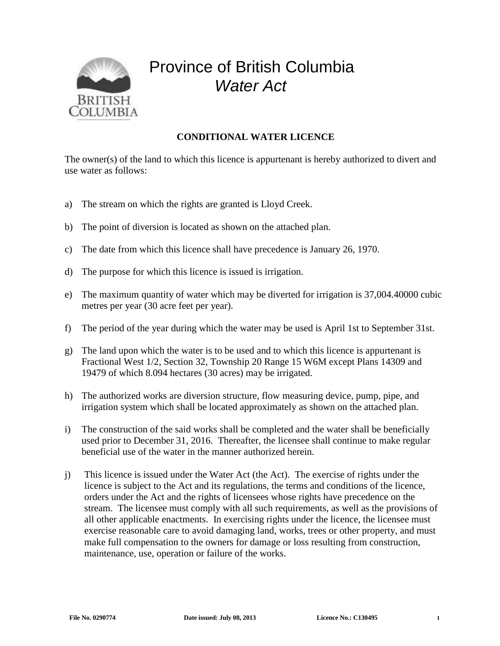

## Province of British Columbia *Water Act*

## **CONDITIONAL WATER LICENCE**

The owner(s) of the land to which this licence is appurtenant is hereby authorized to divert and use water as follows:

- a) The stream on which the rights are granted is Lloyd Creek.
- b) The point of diversion is located as shown on the attached plan.
- c) The date from which this licence shall have precedence is January 26, 1970.
- d) The purpose for which this licence is issued is irrigation.
- e) The maximum quantity of water which may be diverted for irrigation is 37,004.40000 cubic metres per year (30 acre feet per year).
- f) The period of the year during which the water may be used is April 1st to September 31st.
- g) The land upon which the water is to be used and to which this licence is appurtenant is Fractional West 1/2, Section 32, Township 20 Range 15 W6M except Plans 14309 and 19479 of which 8.094 hectares (30 acres) may be irrigated.
- h) The authorized works are diversion structure, flow measuring device, pump, pipe, and irrigation system which shall be located approximately as shown on the attached plan.
- i) The construction of the said works shall be completed and the water shall be beneficially used prior to December 31, 2016. Thereafter, the licensee shall continue to make regular beneficial use of the water in the manner authorized herein.
- j) This licence is issued under the Water Act (the Act). The exercise of rights under the licence is subject to the Act and its regulations, the terms and conditions of the licence, orders under the Act and the rights of licensees whose rights have precedence on the stream. The licensee must comply with all such requirements, as well as the provisions of all other applicable enactments. In exercising rights under the licence, the licensee must exercise reasonable care to avoid damaging land, works, trees or other property, and must make full compensation to the owners for damage or loss resulting from construction, maintenance, use, operation or failure of the works.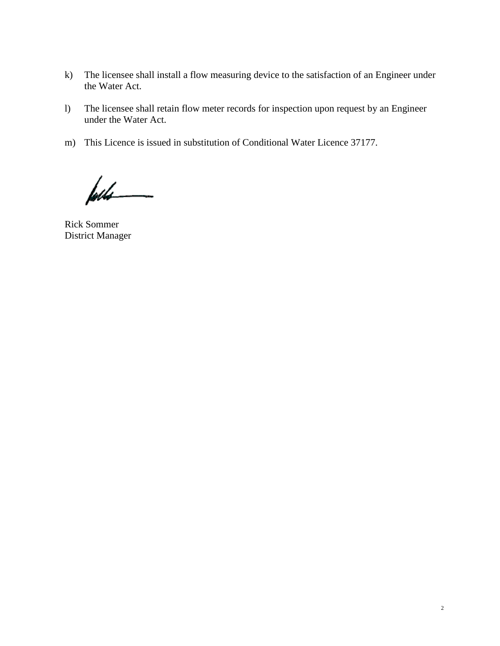- k) The licensee shall install a flow measuring device to the satisfaction of an Engineer under the Water Act.
- l) The licensee shall retain flow meter records for inspection upon request by an Engineer under the Water Act.
- m) This Licence is issued in substitution of Conditional Water Licence 37177.

føds

Rick Sommer District Manager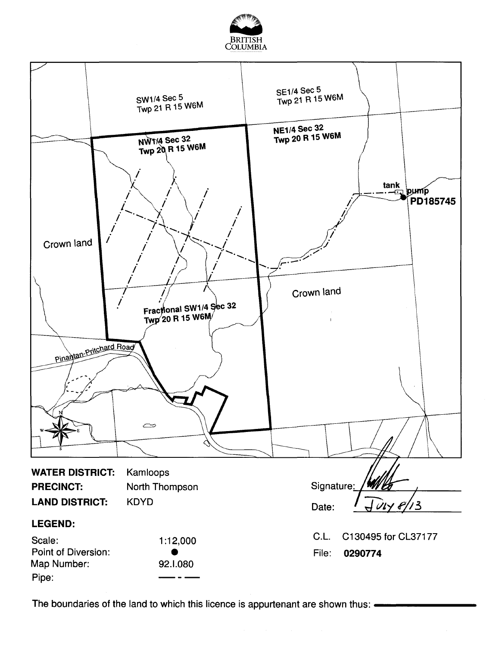



The boundaries of the land to which this licence is appurtenant are shown thus: .